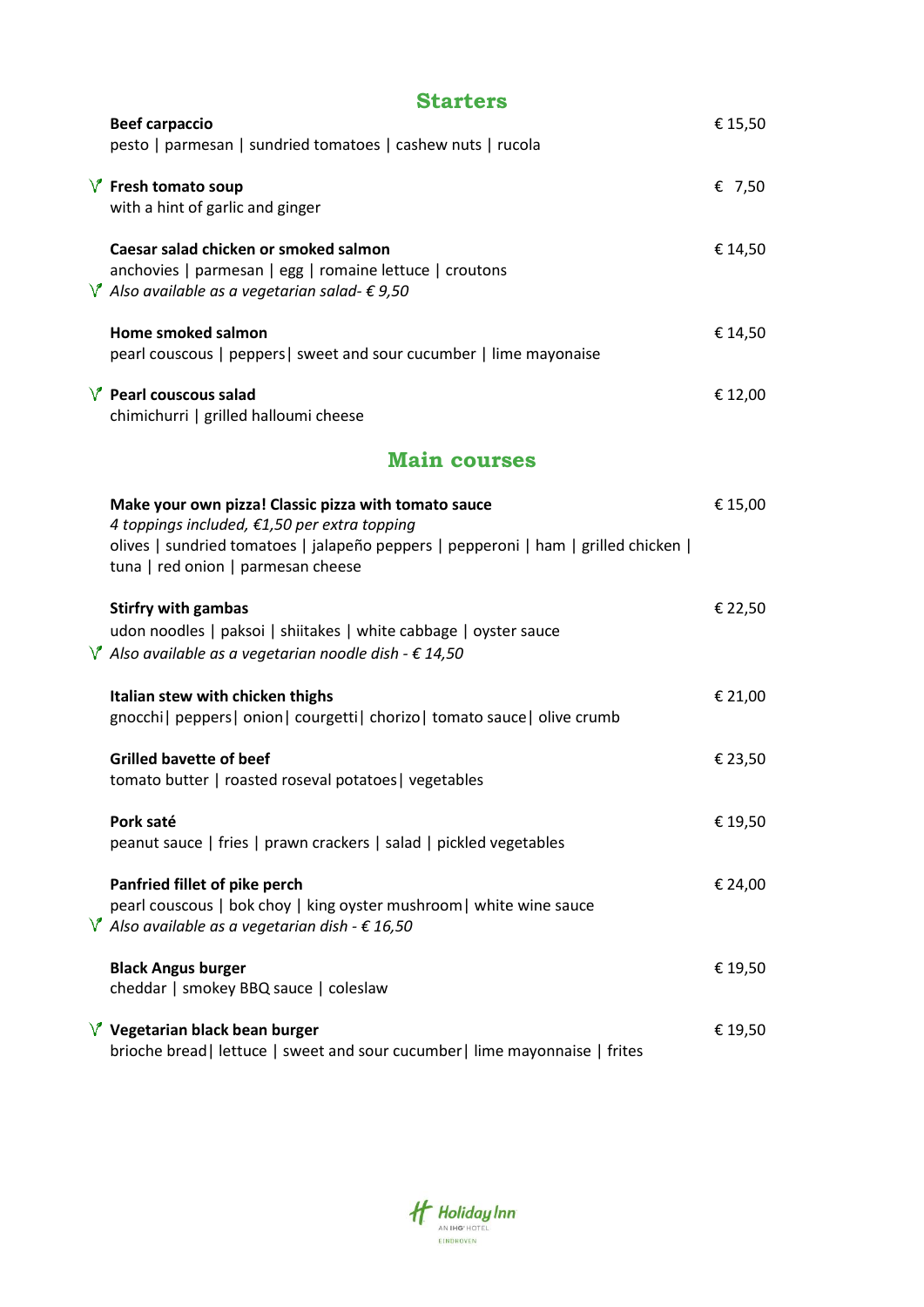| <b>Starters</b>                                                                                                                                                                                                                   |         |  |  |  |
|-----------------------------------------------------------------------------------------------------------------------------------------------------------------------------------------------------------------------------------|---------|--|--|--|
| <b>Beef carpaccio</b><br>pesto   parmesan   sundried tomatoes   cashew nuts   rucola                                                                                                                                              | € 15,50 |  |  |  |
| $\sqrt{\ }$ Fresh tomato soup<br>with a hint of garlic and ginger                                                                                                                                                                 | € 7,50  |  |  |  |
| Caesar salad chicken or smoked salmon<br>anchovies   parmesan   egg   romaine lettuce   croutons<br>$\sqrt{\ }$ Also available as a vegetarian salad- $\epsilon$ 9,50                                                             | € 14,50 |  |  |  |
| Home smoked salmon<br>pearl couscous   peppers   sweet and sour cucumber   lime mayonaise                                                                                                                                         | € 14,50 |  |  |  |
| $V$ Pearl couscous salad<br>chimichurri   grilled halloumi cheese                                                                                                                                                                 | € 12,00 |  |  |  |
| <b>Main courses</b>                                                                                                                                                                                                               |         |  |  |  |
| Make your own pizza! Classic pizza with tomato sauce<br>4 toppings included, €1,50 per extra topping<br>olives   sundried tomatoes   jalapeño peppers   pepperoni   ham   grilled chicken  <br>tuna   red onion   parmesan cheese | € 15,00 |  |  |  |
| <b>Stirfry with gambas</b><br>udon noodles   paksoi   shiitakes   white cabbage   oyster sauce<br>$\sqrt{\ }$ Also available as a vegetarian noodle dish - $\epsilon$ 14,50                                                       | € 22,50 |  |  |  |
| Italian stew with chicken thighs<br>gnocchi   peppers   onion   courgetti   chorizo   tomato sauce   olive crumb                                                                                                                  | € 21,00 |  |  |  |
| <b>Grilled bavette of beef</b><br>tomato butter   roasted roseval potatoes   vegetables                                                                                                                                           | € 23,50 |  |  |  |
| Pork saté<br>peanut sauce   fries   prawn crackers   salad   pickled vegetables                                                                                                                                                   | € 19,50 |  |  |  |
| Panfried fillet of pike perch<br>pearl couscous   bok choy   king oyster mushroom   white wine sauce<br>$\sqrt{\ }$ Also available as a vegetarian dish - $\epsilon$ 16,50                                                        | € 24,00 |  |  |  |
| <b>Black Angus burger</b><br>cheddar   smokey BBQ sauce   coleslaw                                                                                                                                                                | € 19,50 |  |  |  |
| $\sqrt{\ }$ Vegetarian black bean burger<br>brioche bread   lettuce   sweet and sour cucumber   lime mayonnaise   frites                                                                                                          | € 19,50 |  |  |  |